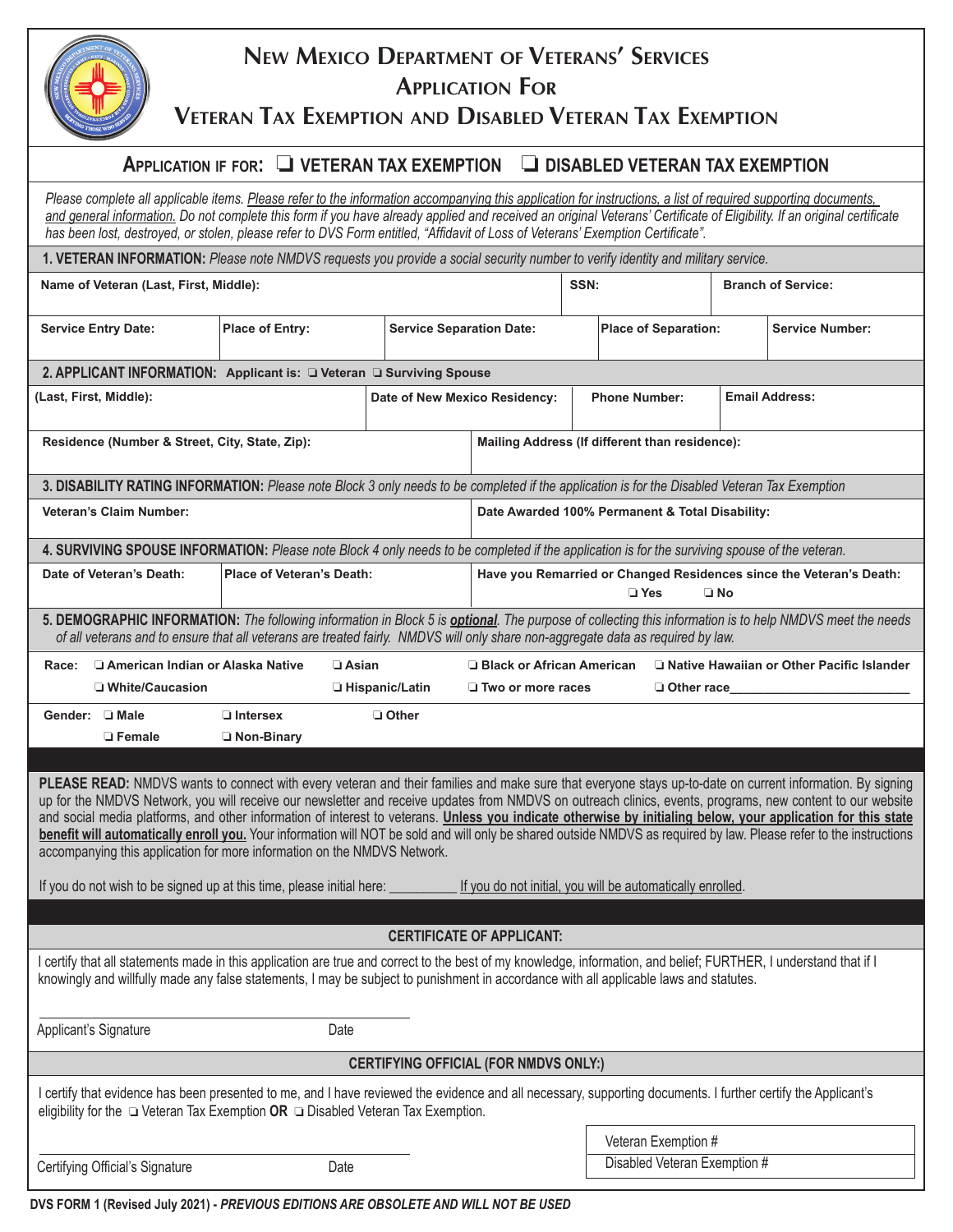| ĝ<br>\$<br>TWO THOSE WHO SERVE |
|--------------------------------|
|--------------------------------|

# **New Mexico Department of Veterans' Services Application For**

**Veteran Tax Exemption and Disabled Veteran Tax Exemption**

# **APPLICATION IF FOR: O VETERAN TAX EXEMPTION** O DISABLED VETERAN TAX EXEMPTION

| Please complete all applicable items. Please refer to the information accompanying this application for instructions, a list of required supporting documents,<br>and general information. Do not complete this form if you have already applied and received an original Veterans' Certificate of Eligibility. If an original certificate<br>has been lost, destroyed, or stolen, please refer to DVS Form entitled, "Affidavit of Loss of Veterans' Exemption Certificate".                                                                                                                                                                                                                                                                                                                                                                                                      |                               |                                                 |                                                                                                                           |                             |                              |                        |                           |  |
|------------------------------------------------------------------------------------------------------------------------------------------------------------------------------------------------------------------------------------------------------------------------------------------------------------------------------------------------------------------------------------------------------------------------------------------------------------------------------------------------------------------------------------------------------------------------------------------------------------------------------------------------------------------------------------------------------------------------------------------------------------------------------------------------------------------------------------------------------------------------------------|-------------------------------|-------------------------------------------------|---------------------------------------------------------------------------------------------------------------------------|-----------------------------|------------------------------|------------------------|---------------------------|--|
| 1. VETERAN INFORMATION: Please note NMDVS requests you provide a social security number to verify identity and military service.                                                                                                                                                                                                                                                                                                                                                                                                                                                                                                                                                                                                                                                                                                                                                   |                               |                                                 |                                                                                                                           |                             |                              |                        |                           |  |
| Name of Veteran (Last, First, Middle):                                                                                                                                                                                                                                                                                                                                                                                                                                                                                                                                                                                                                                                                                                                                                                                                                                             |                               |                                                 |                                                                                                                           |                             | SSN:                         |                        | <b>Branch of Service:</b> |  |
| <b>Service Entry Date:</b>                                                                                                                                                                                                                                                                                                                                                                                                                                                                                                                                                                                                                                                                                                                                                                                                                                                         | <b>Place of Entry:</b>        | <b>Service Separation Date:</b>                 |                                                                                                                           | <b>Place of Separation:</b> |                              | <b>Service Number:</b> |                           |  |
| 2. APPLICANT INFORMATION: Applicant is: $\Box$ Veteran $\Box$ Surviving Spouse                                                                                                                                                                                                                                                                                                                                                                                                                                                                                                                                                                                                                                                                                                                                                                                                     |                               |                                                 |                                                                                                                           |                             |                              |                        |                           |  |
| (Last, First, Middle):                                                                                                                                                                                                                                                                                                                                                                                                                                                                                                                                                                                                                                                                                                                                                                                                                                                             | Date of New Mexico Residency: |                                                 |                                                                                                                           | <b>Phone Number:</b>        |                              | <b>Email Address:</b>  |                           |  |
| Residence (Number & Street, City, State, Zip):                                                                                                                                                                                                                                                                                                                                                                                                                                                                                                                                                                                                                                                                                                                                                                                                                                     |                               |                                                 | Mailing Address (If different than residence):                                                                            |                             |                              |                        |                           |  |
| 3. DISABILITY RATING INFORMATION: Please note Block 3 only needs to be completed if the application is for the Disabled Veteran Tax Exemption                                                                                                                                                                                                                                                                                                                                                                                                                                                                                                                                                                                                                                                                                                                                      |                               |                                                 |                                                                                                                           |                             |                              |                        |                           |  |
| <b>Veteran's Claim Number:</b>                                                                                                                                                                                                                                                                                                                                                                                                                                                                                                                                                                                                                                                                                                                                                                                                                                                     |                               | Date Awarded 100% Permanent & Total Disability: |                                                                                                                           |                             |                              |                        |                           |  |
| 4. SURVIVING SPOUSE INFORMATION: Please note Block 4 only needs to be completed if the application is for the surviving spouse of the veteran.                                                                                                                                                                                                                                                                                                                                                                                                                                                                                                                                                                                                                                                                                                                                     |                               |                                                 |                                                                                                                           |                             |                              |                        |                           |  |
| Date of Veteran's Death:<br><b>Place of Veteran's Death:</b>                                                                                                                                                                                                                                                                                                                                                                                                                                                                                                                                                                                                                                                                                                                                                                                                                       |                               |                                                 | Have you Remarried or Changed Residences since the Veteran's Death:<br>$\Box$ Yes<br>$\square$ No                         |                             |                              |                        |                           |  |
| 5. DEMOGRAPHIC INFORMATION: The following information in Block 5 is <b>optional</b> . The purpose of collecting this information is to help NMDVS meet the needs<br>of all veterans and to ensure that all veterans are treated fairly. NMDVS will only share non-aggregate data as required by law.                                                                                                                                                                                                                                                                                                                                                                                                                                                                                                                                                                               |                               |                                                 |                                                                                                                           |                             |                              |                        |                           |  |
| □ American Indian or Alaska Native<br>$\Box$ Asian<br>Race:<br>□ White/Caucasion<br>□ Hispanic/Latin                                                                                                                                                                                                                                                                                                                                                                                                                                                                                                                                                                                                                                                                                                                                                                               |                               |                                                 | Native Hawaiian or Other Pacific Islander<br>□ Black or African American<br>$\Box$ Two or more races<br>$\Box$ Other race |                             |                              |                        |                           |  |
| Gender: □ Male                                                                                                                                                                                                                                                                                                                                                                                                                                                                                                                                                                                                                                                                                                                                                                                                                                                                     | $\Box$ Intersex<br>□ Other    |                                                 |                                                                                                                           |                             |                              |                        |                           |  |
| □ Female                                                                                                                                                                                                                                                                                                                                                                                                                                                                                                                                                                                                                                                                                                                                                                                                                                                                           | Non-Binary                    |                                                 |                                                                                                                           |                             |                              |                        |                           |  |
| PLEASE READ: NMDVS wants to connect with every veteran and their families and make sure that everyone stays up-to-date on current information. By signing<br>up for the NMDVS Network, you will receive our newsletter and receive updates from NMDVS on outreach clinics, events, programs, new content to our website<br>and social media platforms, and other information of interest to veterans. Unless you indicate otherwise by initialing below, your application for this state<br>benefit will automatically enroll you. Your information will NOT be sold and will only be shared outside NMDVS as required by law. Please refer to the instructions<br>accompanying this application for more information on the NMDVS Network.<br>If you do not wish to be signed up at this time, please initial here:<br>If you do not initial, you will be automatically enrolled. |                               |                                                 |                                                                                                                           |                             |                              |                        |                           |  |
|                                                                                                                                                                                                                                                                                                                                                                                                                                                                                                                                                                                                                                                                                                                                                                                                                                                                                    |                               |                                                 |                                                                                                                           |                             |                              |                        |                           |  |
| <b>CERTIFICATE OF APPLICANT:</b><br>I certify that all statements made in this application are true and correct to the best of my knowledge, information, and belief; FURTHER, I understand that if I                                                                                                                                                                                                                                                                                                                                                                                                                                                                                                                                                                                                                                                                              |                               |                                                 |                                                                                                                           |                             |                              |                        |                           |  |
| knowingly and willfully made any false statements, I may be subject to punishment in accordance with all applicable laws and statutes.                                                                                                                                                                                                                                                                                                                                                                                                                                                                                                                                                                                                                                                                                                                                             |                               |                                                 |                                                                                                                           |                             |                              |                        |                           |  |
| Applicant's Signature                                                                                                                                                                                                                                                                                                                                                                                                                                                                                                                                                                                                                                                                                                                                                                                                                                                              | Date                          |                                                 |                                                                                                                           |                             |                              |                        |                           |  |
| <b>CERTIFYING OFFICIAL (FOR NMDVS ONLY:)</b>                                                                                                                                                                                                                                                                                                                                                                                                                                                                                                                                                                                                                                                                                                                                                                                                                                       |                               |                                                 |                                                                                                                           |                             |                              |                        |                           |  |
| I certify that evidence has been presented to me, and I have reviewed the evidence and all necessary, supporting documents. I further certify the Applicant's<br>eligibility for the $\Box$ Veteran Tax Exemption OR $\Box$ Disabled Veteran Tax Exemption.                                                                                                                                                                                                                                                                                                                                                                                                                                                                                                                                                                                                                        |                               |                                                 |                                                                                                                           |                             |                              |                        |                           |  |
|                                                                                                                                                                                                                                                                                                                                                                                                                                                                                                                                                                                                                                                                                                                                                                                                                                                                                    |                               |                                                 |                                                                                                                           |                             | Veteran Exemption #          |                        |                           |  |
| Certifying Official's Signature                                                                                                                                                                                                                                                                                                                                                                                                                                                                                                                                                                                                                                                                                                                                                                                                                                                    | Date                          |                                                 |                                                                                                                           |                             | Disabled Veteran Exemption # |                        |                           |  |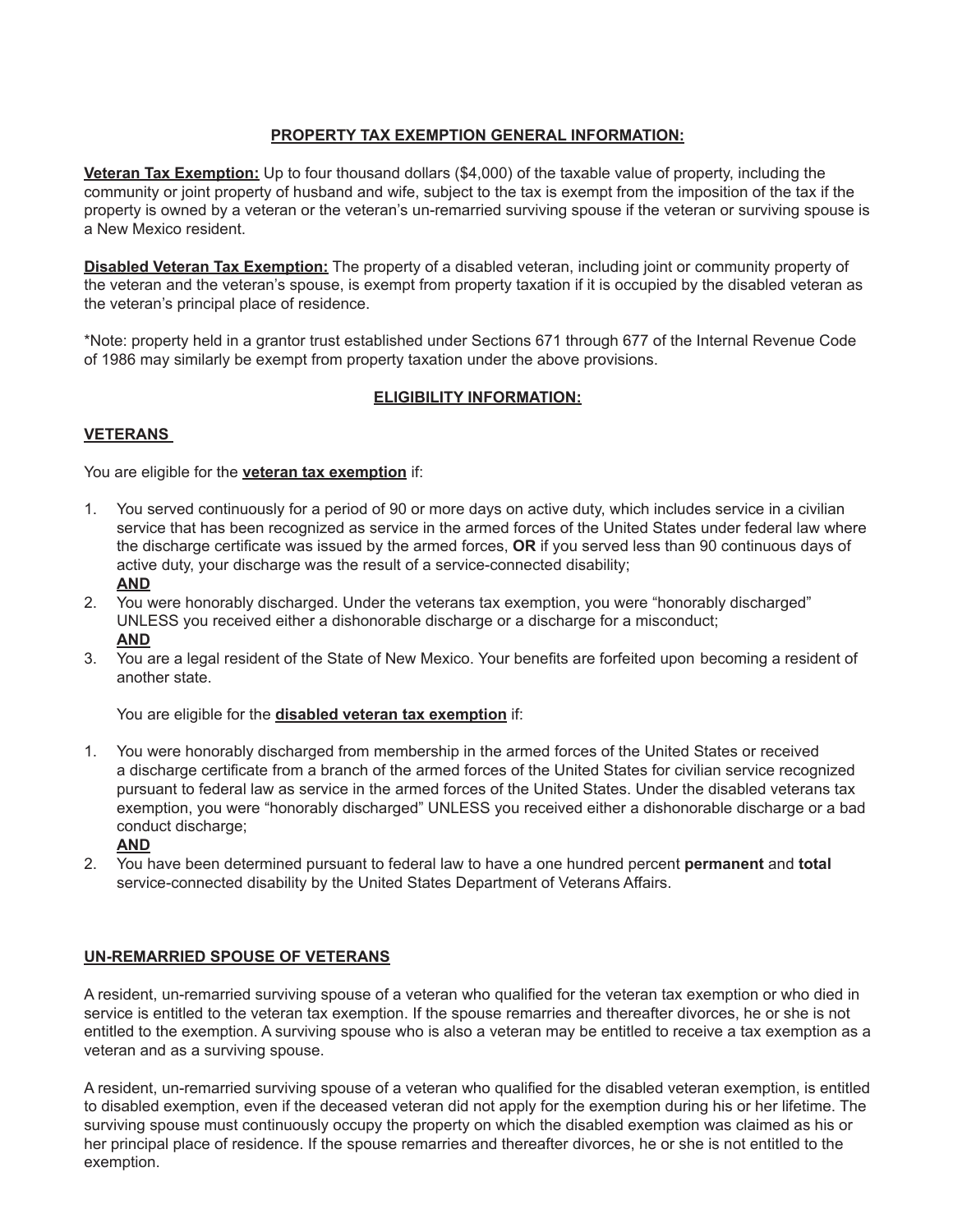# **PROPERTY TAX EXEMPTION GENERAL INFORMATION:**

**Veteran Tax Exemption:** Up to four thousand dollars (\$4,000) of the taxable value of property, including the community or joint property of husband and wife, subject to the tax is exempt from the imposition of the tax if the property is owned by a veteran or the veteran's un-remarried surviving spouse if the veteran or surviving spouse is a New Mexico resident.

**Disabled Veteran Tax Exemption:** The property of a disabled veteran, including joint or community property of the veteran and the veteran's spouse, is exempt from property taxation if it is occupied by the disabled veteran as the veteran's principal place of residence.

\*Note: property held in a grantor trust established under Sections 671 through 677 of the Internal Revenue Code of 1986 may similarly be exempt from property taxation under the above provisions.

# **ELIGIBILITY INFORMATION:**

### **VETERANS**

You are eligible for the **veteran tax exemption** if:

- 1. You served continuously for a period of 90 or more days on active duty, which includes service in a civilian service that has been recognized as service in the armed forces of the United States under federal law where the discharge certificate was issued by the armed forces, **OR** if you served less than 90 continuous days of active duty, your discharge was the result of a service-connected disability; **AND**
- 2. You were honorably discharged. Under the veterans tax exemption, you were "honorably discharged" UNLESS you received either a dishonorable discharge or a discharge for a misconduct; **AND**
- 3. You are a legal resident of the State of New Mexico. Your benefits are forfeited upon becoming a resident of another state.

You are eligible for the **disabled veteran tax exemption** if:

- 1. You were honorably discharged from membership in the armed forces of the United States or received a discharge certificate from a branch of the armed forces of the United States for civilian service recognized pursuant to federal law as service in the armed forces of the United States. Under the disabled veterans tax exemption, you were "honorably discharged" UNLESS you received either a dishonorable discharge or a bad conduct discharge;
	- **AND**
- 2. You have been determined pursuant to federal law to have a one hundred percent **permanent** and **total** service-connected disability by the United States Department of Veterans Affairs.

### **UN-REMARRIED SPOUSE OF VETERANS**

A resident, un-remarried surviving spouse of a veteran who qualified for the veteran tax exemption or who died in service is entitled to the veteran tax exemption. If the spouse remarries and thereafter divorces, he or she is not entitled to the exemption. A surviving spouse who is also a veteran may be entitled to receive a tax exemption as a veteran and as a surviving spouse.

A resident, un-remarried surviving spouse of a veteran who qualified for the disabled veteran exemption, is entitled to disabled exemption, even if the deceased veteran did not apply for the exemption during his or her lifetime. The surviving spouse must continuously occupy the property on which the disabled exemption was claimed as his or her principal place of residence. If the spouse remarries and thereafter divorces, he or she is not entitled to the exemption.